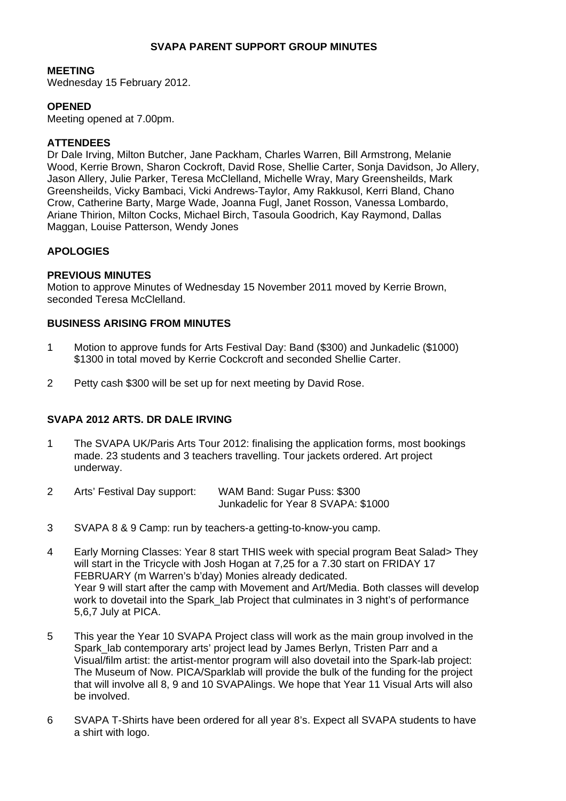## **SVAPA PARENT SUPPORT GROUP MINUTES**

#### **MEETING**

Wednesday 15 February 2012.

### **OPENED**

Meeting opened at 7.00pm.

### **ATTENDEES**

Dr Dale Irving, Milton Butcher, Jane Packham, Charles Warren, Bill Armstrong, Melanie Wood, Kerrie Brown, Sharon Cockroft, David Rose, Shellie Carter, Sonja Davidson, Jo Allery, Jason Allery, Julie Parker, Teresa McClelland, Michelle Wray, Mary Greensheilds, Mark Greensheilds, Vicky Bambaci, Vicki Andrews-Taylor, Amy Rakkusol, Kerri Bland, Chano Crow, Catherine Barty, Marge Wade, Joanna Fugl, Janet Rosson, Vanessa Lombardo, Ariane Thirion, Milton Cocks, Michael Birch, Tasoula Goodrich, Kay Raymond, Dallas Maggan, Louise Patterson, Wendy Jones

### **APOLOGIES**

#### **PREVIOUS MINUTES**

Motion to approve Minutes of Wednesday 15 November 2011 moved by Kerrie Brown, seconded Teresa McClelland.

# **BUSINESS ARISING FROM MINUTES**

- 1 Motion to approve funds for Arts Festival Day: Band (\$300) and Junkadelic (\$1000) \$1300 in total moved by Kerrie Cockcroft and seconded Shellie Carter.
- 2 Petty cash \$300 will be set up for next meeting by David Rose.

## **SVAPA 2012 ARTS. DR DALE IRVING**

- 1 The SVAPA UK/Paris Arts Tour 2012: finalising the application forms, most bookings made. 23 students and 3 teachers travelling. Tour jackets ordered. Art project underway.
- 2 Arts' Festival Day support: WAM Band: Sugar Puss: \$300 Junkadelic for Year 8 SVAPA: \$1000
- 3 SVAPA 8 & 9 Camp: run by teachers-a getting-to-know-you camp.
- 4 Early Morning Classes: Year 8 start THIS week with special program Beat Salad> They will start in the Tricycle with Josh Hogan at 7,25 for a 7.30 start on FRIDAY 17 FEBRUARY (m Warren's b'day) Monies already dedicated. Year 9 will start after the camp with Movement and Art/Media. Both classes will develop work to dovetail into the Spark lab Project that culminates in 3 night's of performance 5,6,7 July at PICA.
- 5 This year the Year 10 SVAPA Project class will work as the main group involved in the Spark\_lab contemporary arts' project lead by James Berlyn, Tristen Parr and a Visual/film artist: the artist-mentor program will also dovetail into the Spark-lab project: The Museum of Now. PICA/Sparklab will provide the bulk of the funding for the project that will involve all 8, 9 and 10 SVAPAlings. We hope that Year 11 Visual Arts will also be involved.
- 6 SVAPA T-Shirts have been ordered for all year 8's. Expect all SVAPA students to have a shirt with logo.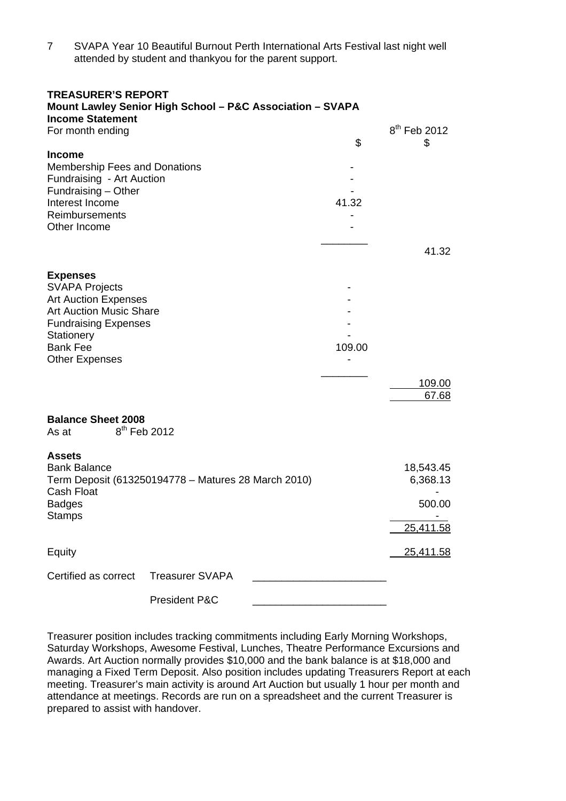7 SVAPA Year 10 Beautiful Burnout Perth International Arts Festival last night well attended by student and thankyou for the parent support.

#### **TREASURER'S REPORT**

| <b>Income Statement</b>                                                                                                                                                                            | Mount Lawley Senior High School - P&C Association - SVAPA |                                              |                                |
|----------------------------------------------------------------------------------------------------------------------------------------------------------------------------------------------------|-----------------------------------------------------------|----------------------------------------------|--------------------------------|
| For month ending                                                                                                                                                                                   |                                                           | \$                                           | 8 <sup>th</sup> Feb 2012<br>\$ |
| <b>Income</b><br><b>Membership Fees and Donations</b><br>Fundraising - Art Auction<br>Fundraising - Other<br>Interest Income<br>Reimbursements<br>Other Income                                     |                                                           | 41.32                                        | 41.32                          |
| <b>Expenses</b><br><b>SVAPA Projects</b><br><b>Art Auction Expenses</b><br><b>Art Auction Music Share</b><br><b>Fundraising Expenses</b><br>Stationery<br><b>Bank Fee</b><br><b>Other Expenses</b> |                                                           | 109.00                                       |                                |
|                                                                                                                                                                                                    |                                                           |                                              | 109.00<br>67.68                |
| <b>Balance Sheet 2008</b><br>$8^{\sf th}$ Feb 2012<br>As at                                                                                                                                        |                                                           |                                              |                                |
| <b>Assets</b><br><b>Bank Balance</b><br>Term Deposit (613250194778 - Matures 28 March 2010)<br>Cash Float<br><b>Badges</b><br><b>Stamps</b>                                                        |                                                           | 18,543.45<br>6,368.13<br>500.00<br>25,411.58 |                                |
| Equity                                                                                                                                                                                             |                                                           |                                              | 25,411.58                      |
| Certified as correct                                                                                                                                                                               | <b>Treasurer SVAPA</b>                                    |                                              |                                |
|                                                                                                                                                                                                    | President P&C                                             |                                              |                                |

Treasurer position includes tracking commitments including Early Morning Workshops, Saturday Workshops, Awesome Festival, Lunches, Theatre Performance Excursions and Awards. Art Auction normally provides \$10,000 and the bank balance is at \$18,000 and managing a Fixed Term Deposit. Also position includes updating Treasurers Report at each meeting. Treasurer's main activity is around Art Auction but usually 1 hour per month and attendance at meetings. Records are run on a spreadsheet and the current Treasurer is prepared to assist with handover.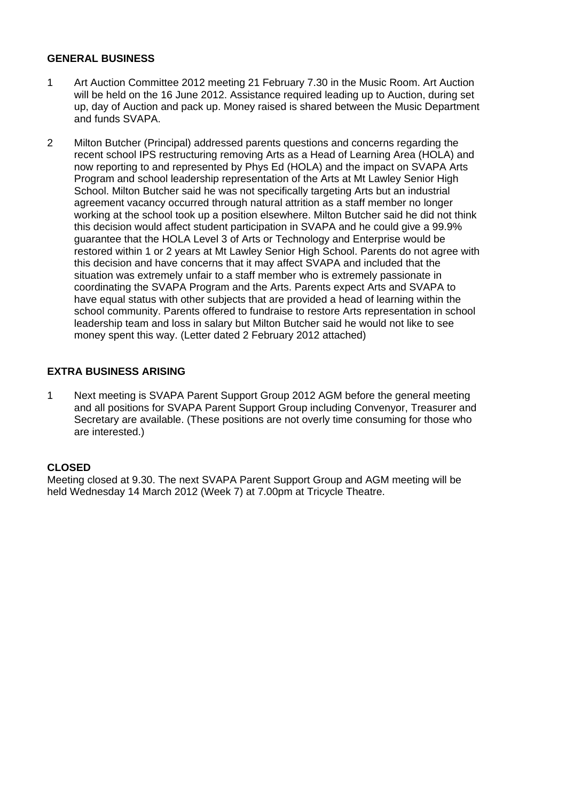### **GENERAL BUSINESS**

- 1 Art Auction Committee 2012 meeting 21 February 7.30 in the Music Room. Art Auction will be held on the 16 June 2012. Assistance required leading up to Auction, during set up, day of Auction and pack up. Money raised is shared between the Music Department and funds SVAPA.
- 2 Milton Butcher (Principal) addressed parents questions and concerns regarding the recent school IPS restructuring removing Arts as a Head of Learning Area (HOLA) and now reporting to and represented by Phys Ed (HOLA) and the impact on SVAPA Arts Program and school leadership representation of the Arts at Mt Lawley Senior High School. Milton Butcher said he was not specifically targeting Arts but an industrial agreement vacancy occurred through natural attrition as a staff member no longer working at the school took up a position elsewhere. Milton Butcher said he did not think this decision would affect student participation in SVAPA and he could give a 99.9% guarantee that the HOLA Level 3 of Arts or Technology and Enterprise would be restored within 1 or 2 years at Mt Lawley Senior High School. Parents do not agree with this decision and have concerns that it may affect SVAPA and included that the situation was extremely unfair to a staff member who is extremely passionate in coordinating the SVAPA Program and the Arts. Parents expect Arts and SVAPA to have equal status with other subjects that are provided a head of learning within the school community. Parents offered to fundraise to restore Arts representation in school leadership team and loss in salary but Milton Butcher said he would not like to see money spent this way. (Letter dated 2 February 2012 attached)

## **EXTRA BUSINESS ARISING**

1 Next meeting is SVAPA Parent Support Group 2012 AGM before the general meeting and all positions for SVAPA Parent Support Group including Convenyor, Treasurer and Secretary are available. (These positions are not overly time consuming for those who are interested.)

## **CLOSED**

Meeting closed at 9.30. The next SVAPA Parent Support Group and AGM meeting will be held Wednesday 14 March 2012 (Week 7) at 7.00pm at Tricycle Theatre.